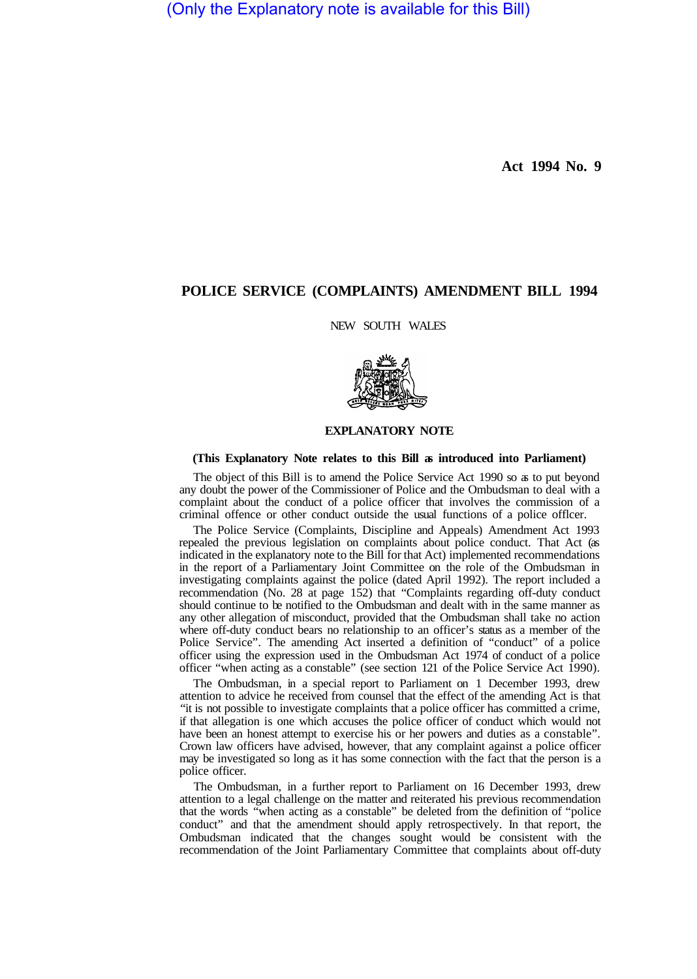(Only the Explanatory note is available for this Bill)

**Act 1994 No. 9** 

# **POLICE SERVICE (COMPLAINTS) AMENDMENT BILL 1994**

NEW SOUTH WALES



### **EXPLANATORY NOTE**

#### **(This Explanatory Note relates to this Bill as introduced into Parliament)**

The object of this Bill is to amend the Police Service Act 1990 so as to put beyond any doubt the power of the Commissioner of Police and the Ombudsman to deal with a complaint about the conduct of a police officer that involves the commission of a criminal offence or other conduct outside the usual functions of a police offlcer.

The Police Service (Complaints, Discipline and Appeals) Amendment Act 1993 repealed the previous legislation on complaints about police conduct. That Act (as indicated in the explanatory note to the Bill for that Act) implemented recommendations in the report of a Parliamentary Joint Committee on the role of the Ombudsman in investigating complaints against the police (dated April 1992). The report included a recommendation (No. 28 at page 152) that "Complaints regarding off-duty conduct should continue to be notified to the Ombudsman and dealt with in the same manner as any other allegation of misconduct, provided that the Ombudsman shall take no action where off-duty conduct bears no relationship to an officer's status as a member of the Police Service". The amending Act inserted a definition of "conduct" of a police officer using the expression used in the Ombudsman Act 1974 of conduct of a police officer "when acting as a constable" (see section 121 of the Police Service Act 1990).

The Ombudsman, in a special report to Parliament on 1 December 1993, drew attention to advice he received from counsel that the effect of the amending Act is that "it is not possible to investigate complaints that a police officer has committed a crime, if that allegation is one which accuses the police officer of conduct which would not have been an honest attempt to exercise his or her powers and duties as a constable". Crown law officers have advised, however, that any complaint against a police officer may be investigated so long as it has some connection with the fact that the person is a police officer.

The Ombudsman, in a further report to Parliament on 16 December 1993, drew attention to a legal challenge on the matter and reiterated his previous recommendation that the words "when acting as a constable" be deleted from the definition of "police conduct" and that the amendment should apply retrospectively. In that report, the Ombudsman indicated that the changes sought would be consistent with the recommendation of the Joint Parliamentary Committee that complaints about off-duty